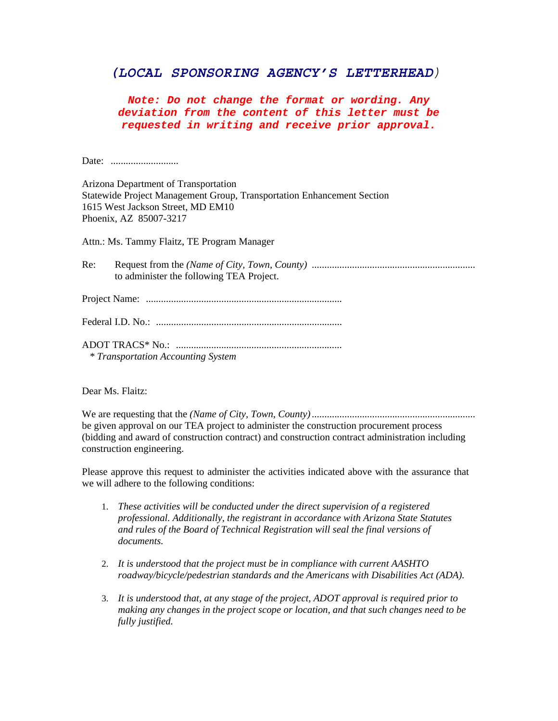## *(LOCAL SPONSORING AGENCY'S LETTERHEAD)*

*Note: Do not change the format or wording. Any deviation from the content of this letter must be requested in writing and receive prior approval.*

Date: ...........................

Arizona Department of Transportation Statewide Project Management Group, Transportation Enhancement Section 1615 West Jackson Street, MD EM10 Phoenix, AZ 85007-3217

Attn.: Ms. Tammy Flaitz, TE Program Manager

| Re: |                                          |
|-----|------------------------------------------|
|     | to administer the following TEA Project. |

Project Name: ..............................................................................

|--|--|

ADOT TRACS\* No.: ..................................................................  *\* Transportation Accounting System* 

Dear Ms. Flaitz:

We are requesting that the *(Name of City, Town, County)*................................................................. be given approval on our TEA project to administer the construction procurement process (bidding and award of construction contract) and construction contract administration including construction engineering.

Please approve this request to administer the activities indicated above with the assurance that we will adhere to the following conditions:

- 1. *These activities will be conducted under the direct supervision of a registered professional. Additionally, the registrant in accordance with Arizona State Statutes and rules of the Board of Technical Registration will seal the final versions of documents.*
- 2. *It is understood that the project must be in compliance with current AASHTO roadway/bicycle/pedestrian standards and the Americans with Disabilities Act (ADA).*
- 3. *It is understood that, at any stage of the project, ADOT approval is required prior to making any changes in the project scope or location, and that such changes need to be fully justified.*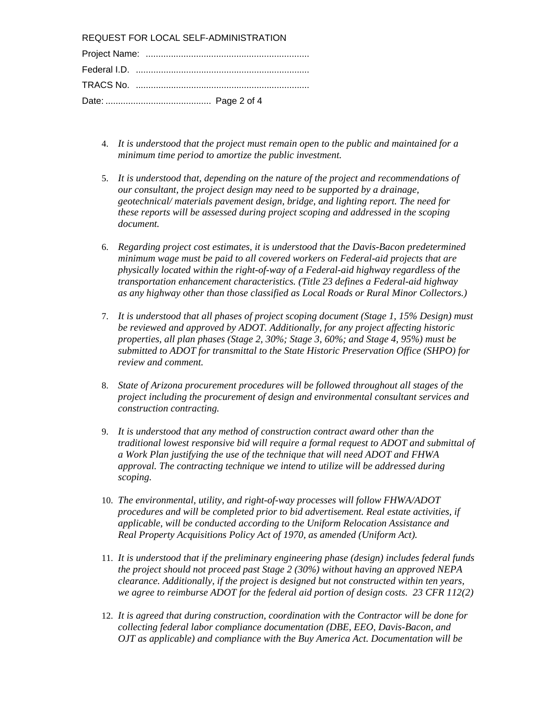REQUEST FOR LOCAL SELF-ADMINISTRATION

- 4. *It is understood that the project must remain open to the public and maintained for a minimum time period to amortize the public investment.*
- 5. *It is understood that, depending on the nature of the project and recommendations of our consultant, the project design may need to be supported by a drainage, geotechnical/ materials pavement design, bridge, and lighting report. The need for these reports will be assessed during project scoping and addressed in the scoping document.*
- 6. *Regarding project cost estimates, it is understood that the Davis-Bacon predetermined minimum wage must be paid to all covered workers on Federal-aid projects that are physically located within the right-of-way of a Federal-aid highway regardless of the transportation enhancement characteristics. (Title 23 defines a Federal-aid highway as any highway other than those classified as Local Roads or Rural Minor Collectors.)*
- 7. *It is understood that all phases of project scoping document (Stage 1, 15% Design) must be reviewed and approved by ADOT. Additionally, for any project affecting historic properties, all plan phases (Stage 2, 30%; Stage 3, 60%; and Stage 4, 95%) must be submitted to ADOT for transmittal to the State Historic Preservation Office (SHPO) for review and comment.*
- 8. *State of Arizona procurement procedures will be followed throughout all stages of the project including the procurement of design and environmental consultant services and construction contracting.*
- 9. *It is understood that any method of construction contract award other than the traditional lowest responsive bid will require a formal request to ADOT and submittal of a Work Plan justifying the use of the technique that will need ADOT and FHWA approval. The contracting technique we intend to utilize will be addressed during scoping.*
- 10. *The environmental, utility, and right-of-way processes will follow FHWA/ADOT procedures and will be completed prior to bid advertisement. Real estate activities, if applicable, will be conducted according to the Uniform Relocation Assistance and Real Property Acquisitions Policy Act of 1970, as amended (Uniform Act).*
- 11. *It is understood that if the preliminary engineering phase (design) includes federal funds the project should not proceed past Stage 2 (30%) without having an approved NEPA clearance. Additionally, if the project is designed but not constructed within ten years, we agree to reimburse ADOT for the federal aid portion of design costs. 23 CFR 112(2)*
- 12. *It is agreed that during construction, coordination with the Contractor will be done for collecting federal labor compliance documentation (DBE, EEO, Davis-Bacon, and OJT as applicable) and compliance with the Buy America Act. Documentation will be*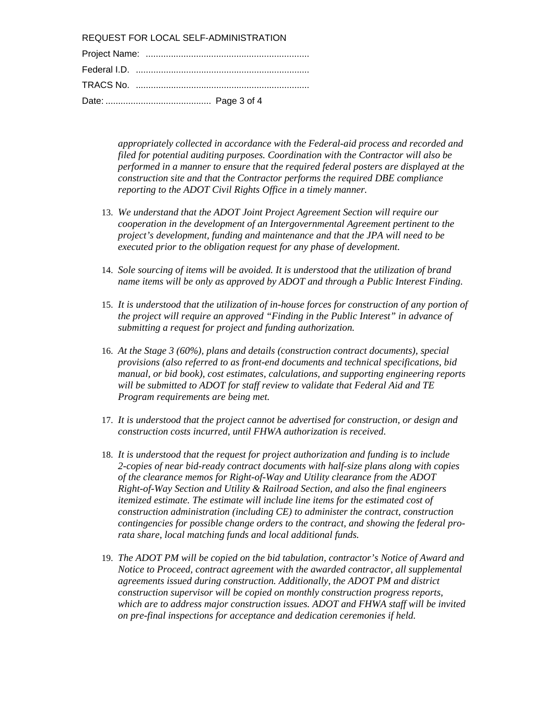REQUEST FOR LOCAL SELF-ADMINISTRATION

*appropriately collected in accordance with the Federal-aid process and recorded and filed for potential auditing purposes. Coordination with the Contractor will also be performed in a manner to ensure that the required federal posters are displayed at the construction site and that the Contractor performs the required DBE compliance reporting to the ADOT Civil Rights Office in a timely manner.* 

- 13. *We understand that the ADOT Joint Project Agreement Section will require our cooperation in the development of an Intergovernmental Agreement pertinent to the project's development, funding and maintenance and that the JPA will need to be executed prior to the obligation request for any phase of development.*
- 14. *Sole sourcing of items will be avoided. It is understood that the utilization of brand name items will be only as approved by ADOT and through a Public Interest Finding.*
- 15. *It is understood that the utilization of in-house forces for construction of any portion of the project will require an approved "Finding in the Public Interest" in advance of submitting a request for project and funding authorization.*
- 16. *At the Stage 3 (60%), plans and details (construction contract documents), special provisions (also referred to as front-end documents and technical specifications, bid manual, or bid book), cost estimates, calculations, and supporting engineering reports will be submitted to ADOT for staff review to validate that Federal Aid and TE Program requirements are being met.*
- 17. *It is understood that the project cannot be advertised for construction, or design and construction costs incurred, until FHWA authorization is received.*
- 18. *It is understood that the request for project authorization and funding is to include 2-copies of near bid-ready contract documents with half-size plans along with copies of the clearance memos for Right-of-Way and Utility clearance from the ADOT Right-of-Way Section and Utility & Railroad Section, and also the final engineers itemized estimate. The estimate will include line items for the estimated cost of construction administration (including CE) to administer the contract, construction contingencies for possible change orders to the contract, and showing the federal prorata share, local matching funds and local additional funds.*
- 19. *The ADOT PM will be copied on the bid tabulation, contractor's Notice of Award and Notice to Proceed, contract agreement with the awarded contractor, all supplemental agreements issued during construction. Additionally, the ADOT PM and district construction supervisor will be copied on monthly construction progress reports, which are to address major construction issues. ADOT and FHWA staff will be invited on pre-final inspections for acceptance and dedication ceremonies if held.*